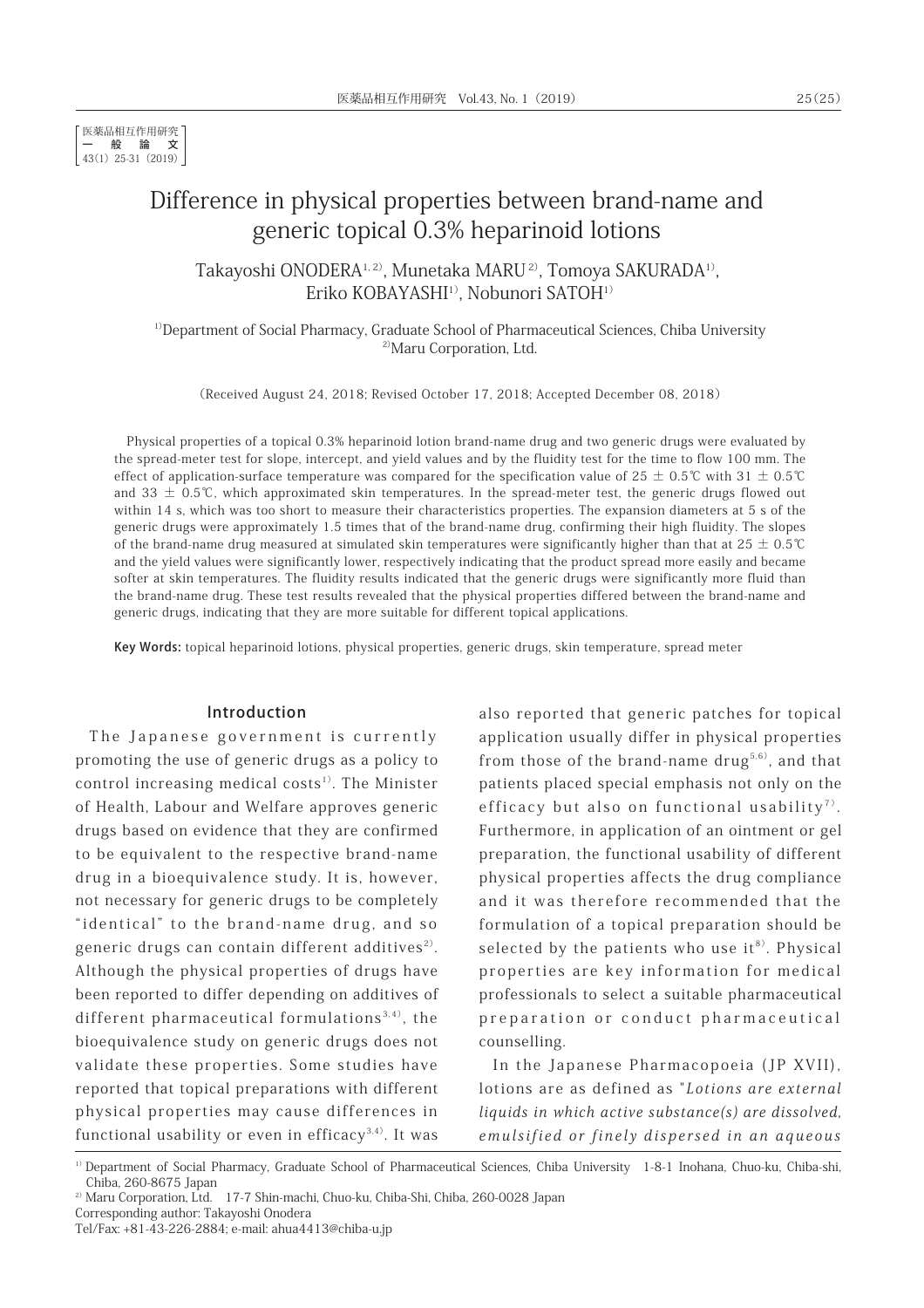# Difference in physical properties between brand-name and generic topical 0.3% heparinoid lotions

Takayoshi ONODERA1, 2), Munetaka MARU 2), Tomoya SAKURADA1), Eriko KOBAYASHI<sup>1)</sup>, Nobunori SATOH<sup>1)</sup>

<sup>1)</sup>Department of Social Pharmacy, Graduate School of Pharmaceutical Sciences, Chiba University <sup>2)</sup>Maru Corporation, Ltd.

(Received August 24, 2018; Revised October 17, 2018; Accepted December 08, 2018)

Physical properties of a topical 0.3% heparinoid lotion brand-name drug and two generic drugs were evaluated by the spread-meter test for slope, intercept, and yield values and by the fluidity test for the time to flow 100 mm. The effect of application-surface temperature was compared for the specification value of  $25 \pm 0.5$ °C with  $31 \pm 0.5$ °C and 33  $\pm$  0.5℃, which approximated skin temperatures. In the spread-meter test, the generic drugs flowed out within 14 s, which was too short to measure their characteristics properties. The expansion diameters at 5 s of the generic drugs were approximately 1.5 times that of the brand-name drug, confirming their high fluidity. The slopes of the brand-name drug measured at simulated skin temperatures were significantly higher than that at  $25 \pm 0.5$ °C and the yield values were significantly lower, respectively indicating that the product spread more easily and became softer at skin temperatures. The fluidity results indicated that the generic drugs were significantly more fluid than the brand-name drug. These test results revealed that the physical properties differed between the brand-name and generic drugs, indicating that they are more suitable for different topical applications.

Key Words: topical heparinoid lotions, physical properties, generic drugs, skin temperature, spread meter

#### Introduction

The Japanese government is currently promoting the use of generic drugs as a policy to control increasing medical costs $1$ <sup>1</sup>. The Minister of Health, Labour and Welfare approves generic drugs based on evidence that they are confirmed to be equivalent to the respective brand-name drug in a bioequivalence study. It is, however, not necessary for generic drugs to be completely "identical" to the brand-name drug, and so generic drugs can contain different additives<sup>2)</sup>. Although the physical properties of drugs have been reported to differ depending on additives of different pharmaceutical formulations $^{3,4)}$ , the bioequivalence study on generic drugs does not validate these properties. Some studies have reported that topical preparations with different physical properties may cause differences in functional usability or even in efficacy<sup>3,4)</sup>. It was

also reported that generic patches for topical application usually differ in physical properties from those of the brand-name drug<sup>5,6)</sup>, and that patients placed special emphasis not only on the efficacy but also on functional usability<sup>7)</sup>. Furthermore, in application of an ointment or gel preparation, the functional usability of different physical properties affects the drug compliance and it was therefore recommended that the formulation of a topical preparation should be selected by the patients who use  $it^{8}$ . Physical properties are key information for medical professionals to select a suitable pharmaceutical preparation or conduct pharmaceutical counselling.

In the Japanese Pharmacopoeia (JP XVII), lotions are as defined as "Lotions are external liquids in which active substance(s) are dissolved, emulsified or finely dispersed in an aqueous

<sup>&</sup>lt;sup>1)</sup> Department of Social Pharmacy, Graduate School of Pharmaceutical Sciences, Chiba University 1-8-1 Inohana, Chuo-ku, Chiba-shi, Chiba, 260-8675 Japan

<sup>&</sup>lt;sup>2)</sup> Maru Corporation, Ltd. 17-7 Shin-machi, Chuo-ku, Chiba-Shi, Chiba, 260-0028 Japan

Corresponding author: Takayoshi Onodera

Tel/Fax: +81-43-226-2884; e-mail: ahua4413@chiba-u.jp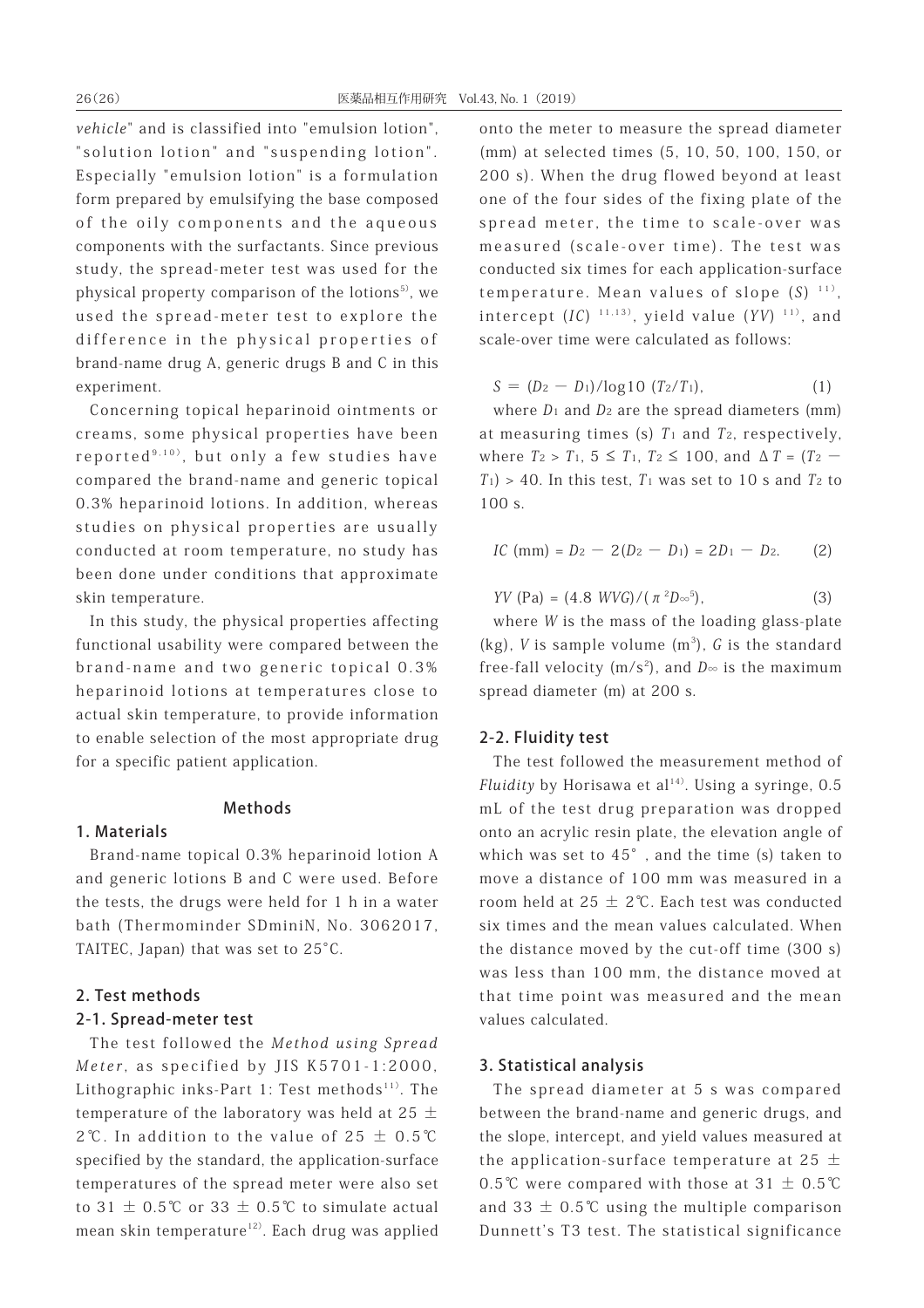vehicle" and is classified into "emulsion lotion", "solution lotion" and "suspending lotion". Especially "emulsion lotion" is a formulation form prepared by emulsifying the base composed of the oily components and the aqueous components with the surfactants. Since previous study, the spread-meter test was used for the physical property comparison of the lotions<sup>5)</sup>, we used the spread-meter test to explore the difference in the physical properties of brand-name drug A, generic drugs B and C in this experiment.

Concerning topical heparinoid ointments or creams, some physical properties have been reported $9,10)$ , but only a few studies have compared the brand-name and generic topical 0.3% heparinoid lotions. In addition, whereas studies on physical properties are usually conducted at room temperature, no study has been done under conditions that approximate skin temperature.

In this study, the physical properties affecting functional usability were compared between the brand-name and two generic topical 0.3% heparinoid lotions at temperatures close to actual skin temperature, to provide information to enable selection of the most appropriate drug for a specific patient application.

## Methods

#### 1. Materials

Brand-name topical 0.3% heparinoid lotion A and generic lotions B and C were used. Before the tests, the drugs were held for 1 h in a water bath (Thermominder SDminiN, No. 3062017, TAITEC, Japan) that was set to 25°C.

#### 2. Test methods

#### 2-1. Spread-meter test

The test followed the Method using Spread Meter, as specified by JIS K5701-1:2000, Lithographic inks-Part 1: Test methods $111$ . The temperature of the laboratory was held at 25  $\pm$ 2℃. In addition to the value of  $25 \pm 0.5$ ℃ specified by the standard, the application-surface temperatures of the spread meter were also set to 31  $\pm$  0.5℃ or 33  $\pm$  0.5℃ to simulate actual mean skin temperature<sup>12)</sup>. Each drug was applied onto the meter to measure the spread diameter (mm) at selected times (5, 10, 50, 100, 150, or 200 s). When the drug flowed beyond at least one of the four sides of the fixing plate of the spread meter, the time to scale-over was measured (scale-over time). The test was conducted six times for each application-surface temperature. Mean values of slope  $(S)^{-11}$ , intercept  $(IC)^{-11,13}$ , yield value  $(YY)^{-11}$ , and scale-over time were calculated as follows:

$$
S = (D_2 - D_1)/\log 10 \ (T_2/T_1), \tag{1}
$$

where  $D_1$  and  $D_2$  are the spread diameters (mm) at measuring times (s)  $T_1$  and  $T_2$ , respectively, where  $T_2 > T_1$ ,  $5 \le T_1$ ,  $T_2 \le 100$ , and  $\Delta T = (T_2 - T_1)$  $T_1$ ) > 40. In this test,  $T_1$  was set to 10 s and  $T_2$  to 100 s.

$$
IC \text{ (mm)} = D_2 - 2(D_2 - D_1) = 2D_1 - D_2. \tag{2}
$$

*YV* (Pa) = (4.8 *WVG*)/(π<sup>2</sup>D∞<sup>5</sup>  $(3)$ 

where W is the mass of the loading glass-plate  $(kg)$ , *V* is sample volume  $(m^3)$ , *G* is the standard free-fall velocity (m/s<sup>2</sup>), and  $D_{\infty}$  is the maximum spread diameter (m) at 200 s.

#### 2-2. Fluidity test

The test followed the measurement method of Fluidity by Horisawa et al<sup>14)</sup>. Using a syringe,  $0.5$ mL of the test drug preparation was dropped onto an acrylic resin plate, the elevation angle of which was set to 45°, and the time (s) taken to move a distance of 100 mm was measured in a room held at  $25 \pm 2$ °C. Each test was conducted six times and the mean values calculated. When the distance moved by the cut-off time (300 s) was less than 100 mm, the distance moved at that time point was measured and the mean values calculated.

## 3. Statistical analysis

The spread diameter at 5 s was compared between the brand-name and generic drugs, and the slope, intercept, and yield values measured at the application-surface temperature at 25  $\pm$ 0.5℃ were compared with those at  $31 \pm 0.5$ ℃ and 33  $\pm$  0.5°C using the multiple comparison Dunnett's T3 test. The statistical significance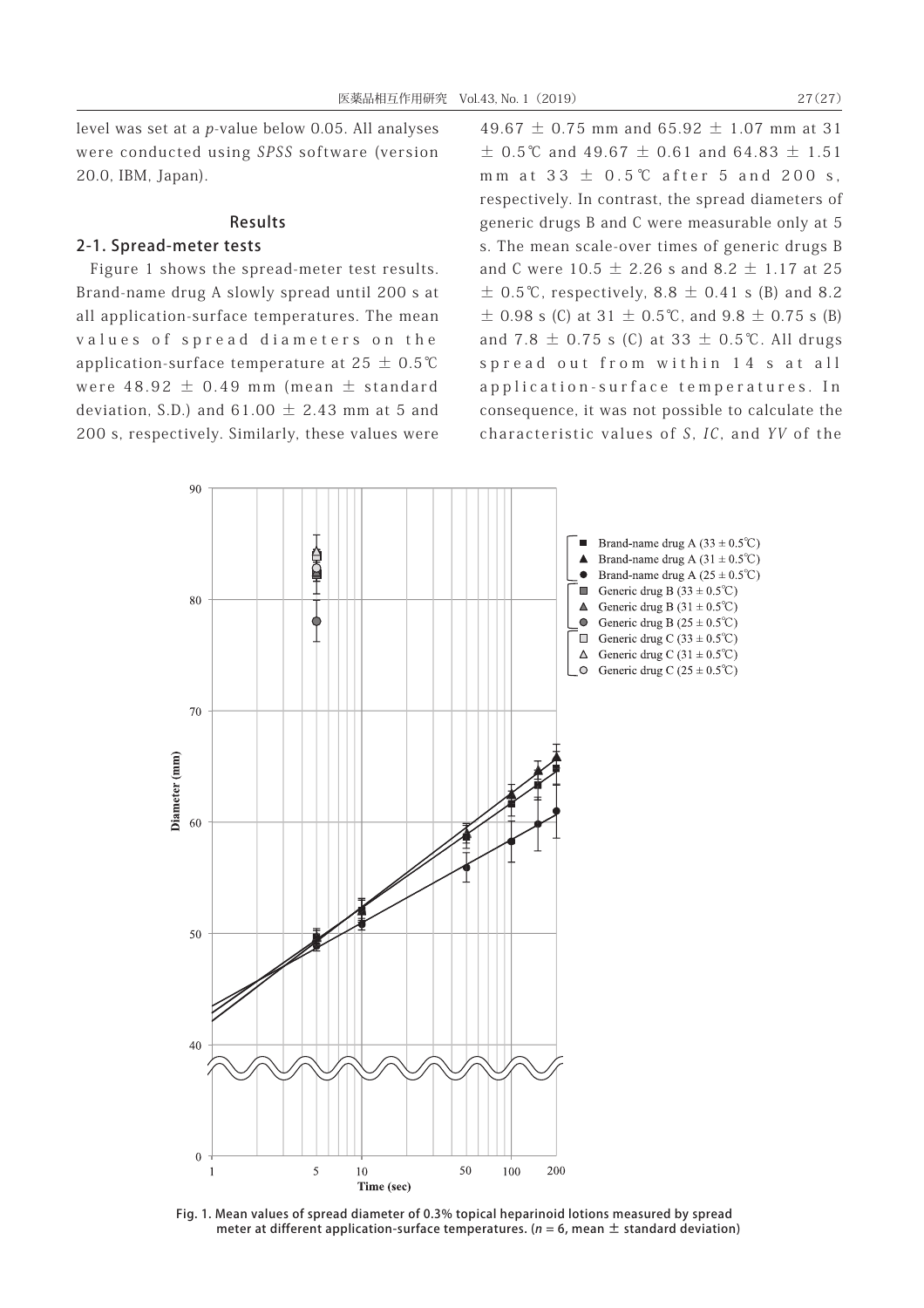level was set at a p-value below 0.05. All analyses were conducted using SPSS software (version 20.0, IBM, Japan).

## Results

# 2-1. Spread-meter tests

Figure 1 shows the spread-meter test results. Brand-name drug A slowly spread until 200 s at all application-surface temperatures. The mean values of spread diameters on the application-surface temperature at  $25 \pm 0.5$ °C were  $48.92 \pm 0.49$  mm (mean  $\pm$  standard deviation, S.D.) and  $61.00 \pm 2.43$  mm at 5 and 200 s, respectively. Similarly, these values were

49.67  $\pm$  0.75 mm and 65.92  $\pm$  1.07 mm at 31  $\pm$  0.5°C and 49.67  $\pm$  0.61 and 64.83  $\pm$  1.51 mm at  $33 \pm 0.5$ °C after 5 and 200 s, respectively. In contrast, the spread diameters of generic drugs B and C were measurable only at 5 s. The mean scale-over times of generic drugs B and C were  $10.5 \pm 2.26$  s and  $8.2 \pm 1.17$  at 25  $\pm$  0.5°C, respectively, 8.8  $\pm$  0.41 s (B) and 8.2  $\pm$  0.98 s (C) at 31  $\pm$  0.5°C, and 9.8  $\pm$  0.75 s (B) and 7.8  $\pm$  0.75 s (C) at 33  $\pm$  0.5℃. All drugs spread out from within 14 s at all application-surface temperatures. In consequence, it was not possible to calculate the characteristic values of S, IC, and YV of the



Fig. 1. Mean values of spread diameter of 0.3% topical heparinoid lotions measured by spread meter at different application-surface temperatures. ( $n = 6$ , mean  $\pm$  standard deviation)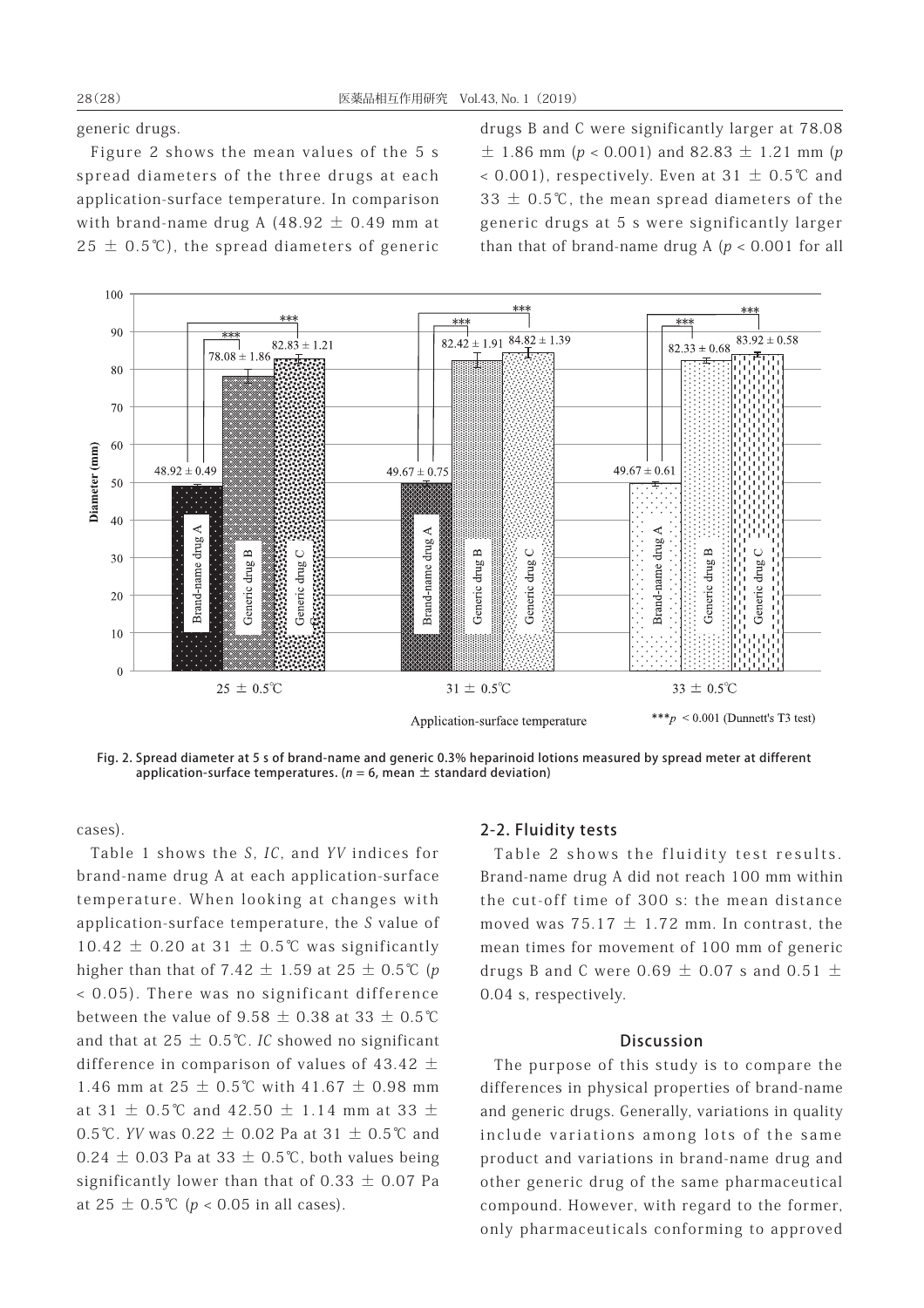generic drugs.

Figure 2 shows the mean values of the 5 s spread diameters of the three drugs at each application-surface temperature. In comparison with brand-name drug A  $(48.92 \pm 0.49$  mm at  $25 \pm 0.5$ °C), the spread diameters of generic drugs B and C were significantly larger at 78.08  $\pm$  1.86 mm (p < 0.001) and 82.83  $\pm$  1.21 mm (p < 0.001), respectively. Even at  $31 \pm 0.5^{\circ}$  and 33  $±$  0.5℃, the mean spread diameters of the generic drugs at 5 s were significantly larger than that of brand-name drug A ( $p < 0.001$  for all



Fig. 2. Spread diameter at 5 s of brand-name and generic 0.3% heparinoid lotions measured by spread meter at different application-surface temperatures. ( $n = 6$ , mean  $\pm$  standard deviation)

cases).

Table 1 shows the S, IC, and YV indices for brand-name drug A at each application-surface temperature. When looking at changes with application-surface temperature, the S value of  $10.42 \pm 0.20$  at  $31 \pm 0.5$ °C was significantly higher than that of 7.42  $\pm$  1.59 at 25  $\pm$  0.5°C (p < 0.05). There was no significant difference between the value of  $9.58 \pm 0.38$  at 33  $\pm$  0.5℃ and that at  $25 \pm 0.5$ °C. IC showed no significant difference in comparison of values of 43.42  $\pm$ 1.46 mm at 25 ± 0.5℃ with 41.67 ± 0.98 mm at 31  $\pm$  0.5℃ and 42.50  $\pm$  1.14 mm at 33  $\pm$ 0.5℃. YV was 0.22  $\pm$  0.02 Pa at 31  $\pm$  0.5℃ and  $0.24 \pm 0.03$  Pa at 33  $\pm$  0.5°C, both values being significantly lower than that of  $0.33 \pm 0.07$  Pa at  $25 \pm 0.5^{\circ}C$  ( $p < 0.05$  in all cases).

#### 2-2. Fluidity tests

Table 2 shows the fluidity test results. Brand-name drug A did not reach 100 mm within the cut-off time of 300 s: the mean distance moved was  $75.17 \pm 1.72$  mm. In contrast, the mean times for movement of 100 mm of generic drugs B and C were 0.69  $\pm$  0.07 s and 0.51  $\pm$ 0.04 s, respectively.

#### **Discussion**

The purpose of this study is to compare the differences in physical properties of brand-name and generic drugs. Generally, variations in quality include variations among lots of the same product and variations in brand-name drug and other generic drug of the same pharmaceutical compound. However, with regard to the former, only pharmaceuticals conforming to approved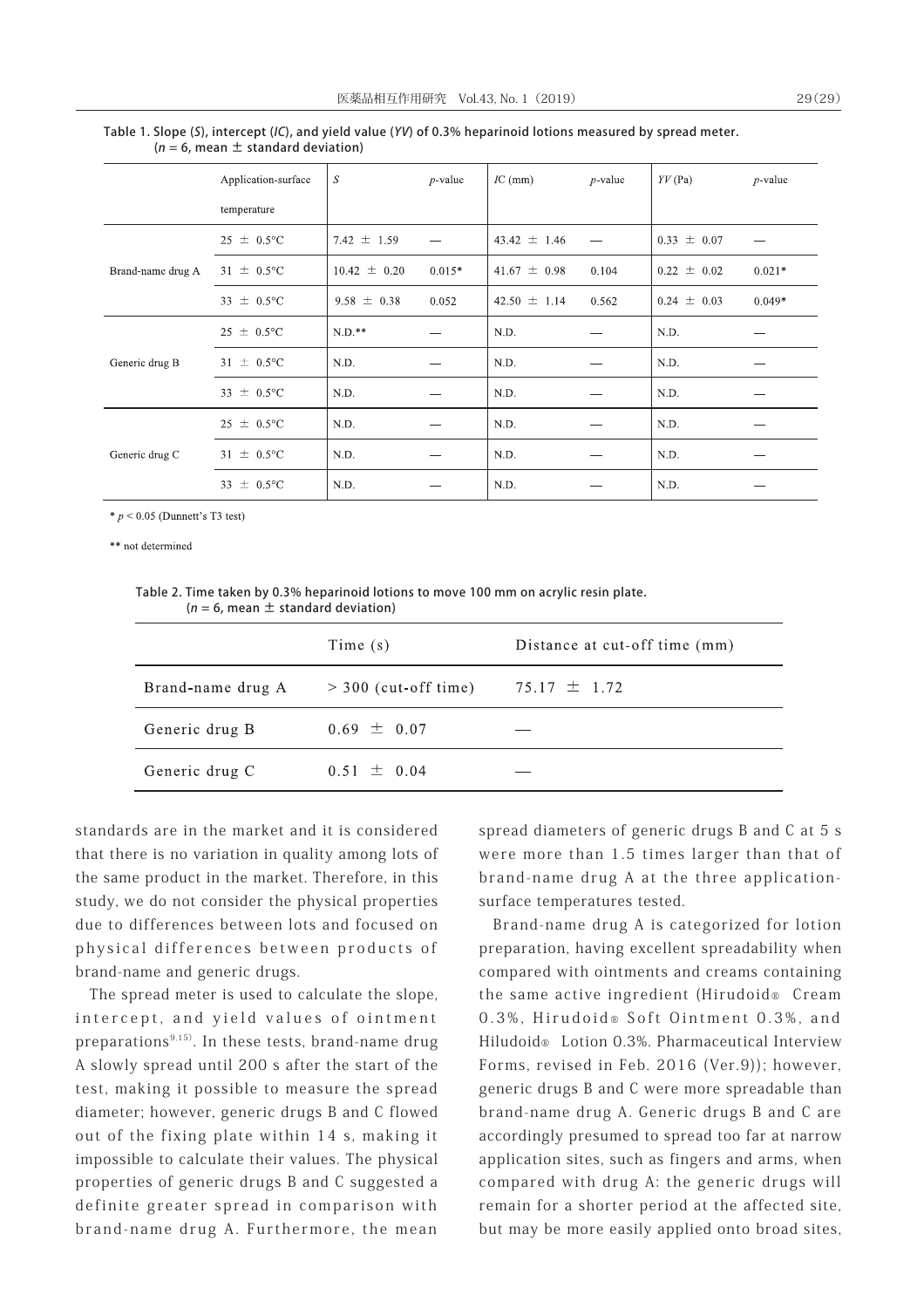|                   | Application-surface    | S                | $p$ -value | $IC$ (mm)        | $p$ -value | $YY$ (Pa)       | $p$ -value |  |
|-------------------|------------------------|------------------|------------|------------------|------------|-----------------|------------|--|
|                   | temperature            |                  |            |                  |            |                 |            |  |
| Brand-name drug A | $25 \pm 0.5^{\circ}$ C | 7.42 $\pm$ 1.59  |            | $43.42 \pm 1.46$ |            | $0.33 \pm 0.07$ |            |  |
|                   | $31 \pm 0.5^{\circ}C$  | $10.42 \pm 0.20$ | $0.015*$   | 41.67 $\pm$ 0.98 | 0.104      | $0.22 \pm 0.02$ | $0.021*$   |  |
|                   | 33 $\pm$ 0.5°C         | $9.58 \pm 0.38$  | 0.052      | $42.50 \pm 1.14$ | 0.562      | $0.24 \pm 0.03$ | $0.049*$   |  |
| Generic drug B    | $25 \pm 0.5^{\circ}$ C | $N.D.**$         |            | N.D.             |            | N.D.            |            |  |
|                   | $31 \pm 0.5^{\circ}C$  | N.D.             |            | N.D.             |            | N.D.            |            |  |
|                   | 33 $\pm$ 0.5°C         | N.D.             |            | N.D.             |            | N.D.            |            |  |
| Generic drug C    | $25 \pm 0.5^{\circ}$ C | N.D.             |            | N.D.             |            | N.D.            |            |  |
|                   | $31 \pm 0.5^{\circ}$ C | N.D.             |            | N.D.             |            | N.D.            |            |  |

 $N<sub>D</sub>$ 

Table 1. Slope (S), intercept (IC), and yield value (YV) of 0.3% heparinoid lotions measured by spread meter.  $(n = 6,$  mean  $\pm$  standard deviation)

 $* p < 0.05$  (Dunnett's T3 test)

33  $\pm$  0.5°C

\*\* not determined

Table 2. Time taken by 0.3% heparinoid lotions to move 100 mm on acrylic resin plate. ( $n = 6$ , mean  $\pm$  standard deviation)

 $N.D.$ 

|                   | Time $(s)$             | Distance at cut-off time (mm) |
|-------------------|------------------------|-------------------------------|
| Brand-name drug A | $>$ 300 (cut-off time) | $75.17 \pm 1.72$              |
| Generic drug B    | $0.69 \pm 0.07$        |                               |
| Generic drug C    | $0.51 \pm 0.04$        |                               |

standards are in the market and it is considered that there is no variation in quality among lots of the same product in the market. Therefore, in this study, we do not consider the physical properties due to differences between lots and focused on physical differences between products of brand-name and generic drugs.

The spread meter is used to calculate the slope, intercept, and yield values of ointment preparations $9,15$ ). In these tests, brand-name drug A slowly spread until 200 s after the start of the test, making it possible to measure the spread diameter; however, generic drugs B and C flowed out of the fixing plate within 14 s, making it impossible to calculate their values. The physical properties of generic drugs B and C suggested a definite greater spread in comparison with brand-name drug A. Furthermore, the mean

spread diameters of generic drugs B and C at 5 s were more than 1.5 times larger than that of brand-name drug A at the three applicationsurface temperatures tested.

 $N.D.$ 

Brand-name drug A is categorized for lotion preparation, having excellent spreadability when compared with ointments and creams containing the same active ingredient (Hirudoid® Cream 0.3%, Hirudoid®Soft Ointment 0.3%, and Hiludoid® Lotion 0.3%. Pharmaceutical Interview Forms, revised in Feb. 2016 (Ver.9)); however, generic drugs B and C were more spreadable than brand-name drug A. Generic drugs B and C are accordingly presumed to spread too far at narrow application sites, such as fingers and arms, when compared with drug A: the generic drugs will remain for a shorter period at the affected site, but may be more easily applied onto broad sites,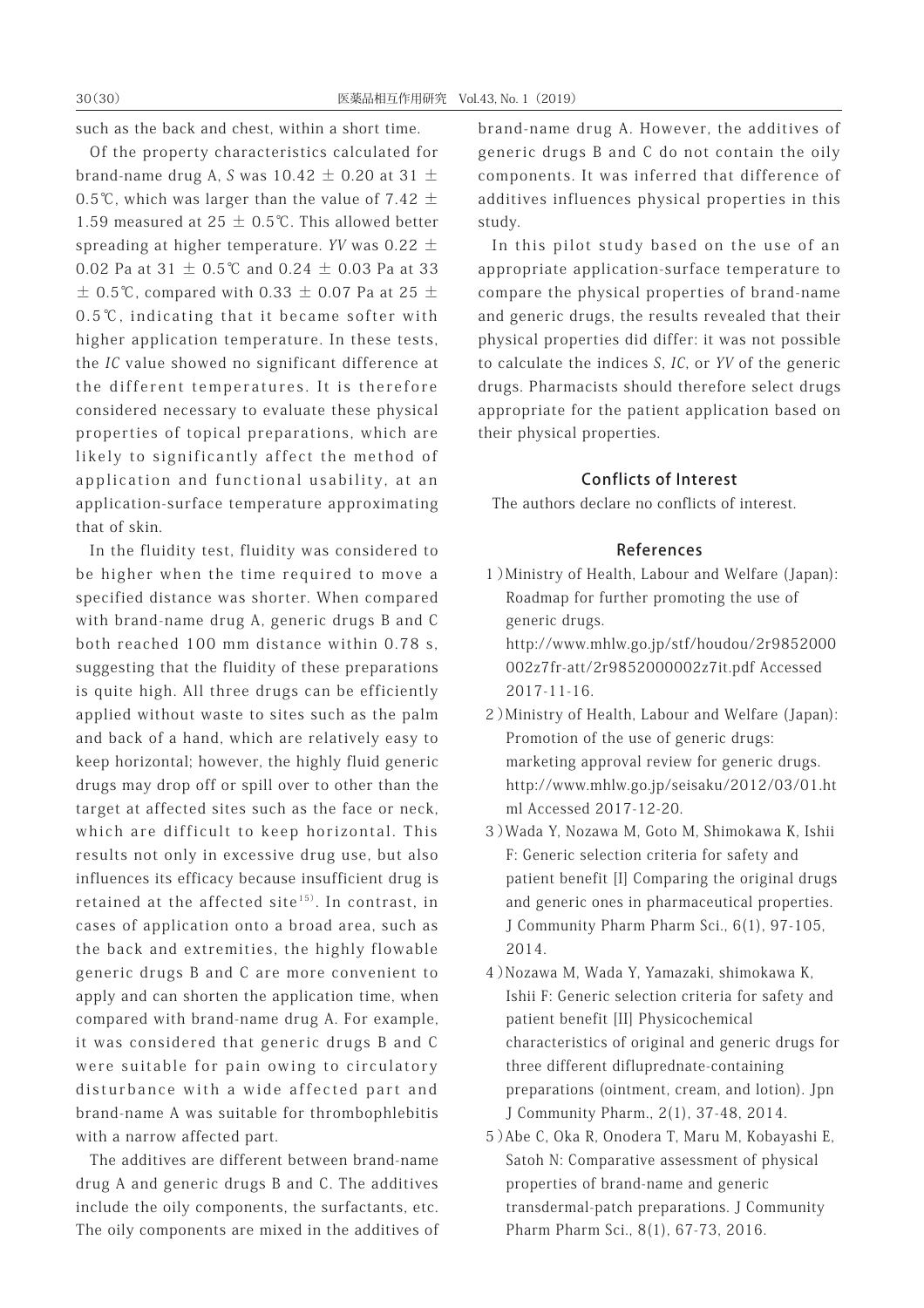such as the back and chest, within a short time.

Of the property characteristics calculated for brand-name drug A, S was  $10.42 \pm 0.20$  at 31  $\pm$ 0.5℃, which was larger than the value of 7.42  $\pm$ 1.59 measured at 25  $±$  0.5℃. This allowed better spreading at higher temperature. YV was  $0.22 \pm$ 0.02 Pa at 31  $\pm$  0.5℃ and 0.24  $\pm$  0.03 Pa at 33  $\pm$  0.5°C, compared with 0.33  $\pm$  0.07 Pa at 25  $\pm$ 0.5℃, indicating that it became softer with higher application temperature. In these tests, the IC value showed no significant difference at the different temperatures. It is therefore considered necessary to evaluate these physical properties of topical preparations, which are likely to significantly affect the method of application and functional usability, at an application-surface temperature approximating that of skin.

In the fluidity test, fluidity was considered to be higher when the time required to move a specified distance was shorter. When compared with brand-name drug A, generic drugs B and C both reached 100 mm distance within 0.78 s, suggesting that the fluidity of these preparations is quite high. All three drugs can be efficiently applied without waste to sites such as the palm and back of a hand, which are relatively easy to keep horizontal; however, the highly fluid generic drugs may drop off or spill over to other than the target at affected sites such as the face or neck, which are difficult to keep horizontal. This results not only in excessive drug use, but also influences its efficacy because insufficient drug is retained at the affected site<sup>15)</sup>. In contrast, in cases of application onto a broad area, such as the back and extremities, the highly flowable generic drugs B and C are more convenient to apply and can shorten the application time, when compared with brand-name drug A. For example, it was considered that generic drugs B and C were suitable for pain owing to circulatory disturbance with a wide affected part and brand-name A was suitable for thrombophlebitis with a narrow affected part.

The additives are different between brand-name drug A and generic drugs B and C. The additives include the oily components, the surfactants, etc. The oily components are mixed in the additives of brand-name drug A. However, the additives of generic drugs B and C do not contain the oily components. It was inferred that difference of additives influences physical properties in this study.

In this pilot study based on the use of an appropriate application-surface temperature to compare the physical properties of brand-name and generic drugs, the results revealed that their physical properties did differ: it was not possible to calculate the indices S, IC, or YV of the generic drugs. Pharmacists should therefore select drugs appropriate for the patient application based on their physical properties.

## Conflicts of Interest

The authors declare no conflicts of interest.

#### References

 1)Ministry of Health, Labour and Welfare (Japan): Roadmap for further promoting the use of generic drugs.

http://www.mhlw.go.jp/stf/houdou/2r9852000 002z7fr-att/2r9852000002z7it.pdf Accessed 2017-11-16.

- 2)Ministry of Health, Labour and Welfare (Japan): Promotion of the use of generic drugs: marketing approval review for generic drugs. http://www.mhlw.go.jp/seisaku/2012/03/01.ht ml Accessed 2017-12-20.
- 3)Wada Y, Nozawa M, Goto M, Shimokawa K, Ishii F: Generic selection criteria for safety and patient benefit [I] Comparing the original drugs and generic ones in pharmaceutical properties. J Community Pharm Pharm Sci., 6(1), 97-105, 2014.
- 4)Nozawa M, Wada Y, Yamazaki, shimokawa K, Ishii F: Generic selection criteria for safety and patient benefit [II] Physicochemical characteristics of original and generic drugs for three different difluprednate-containing preparations (ointment, cream, and lotion). Jpn J Community Pharm., 2(1), 37-48, 2014.
- 5)Abe C, Oka R, Onodera T, Maru M, Kobayashi E, Satoh N: Comparative assessment of physical properties of brand-name and generic transdermal-patch preparations. J Community Pharm Pharm Sci., 8(1), 67-73, 2016.